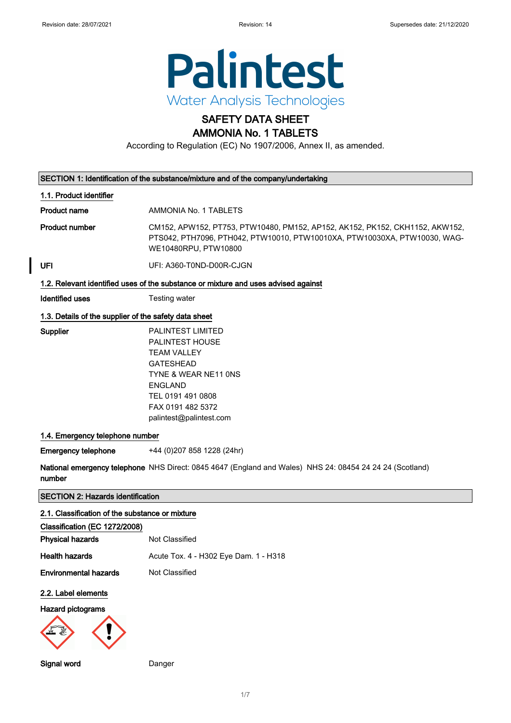

# SAFETY DATA SHEET

# AMMONIA No. 1 TABLETS

According to Regulation (EC) No 1907/2006, Annex II, as amended.

| SECTION 1: Identification of the substance/mixture and of the company/undertaking                                  |                                                                                                                                                                                                      |  |
|--------------------------------------------------------------------------------------------------------------------|------------------------------------------------------------------------------------------------------------------------------------------------------------------------------------------------------|--|
| 1.1. Product identifier                                                                                            |                                                                                                                                                                                                      |  |
| <b>Product name</b>                                                                                                | AMMONIA No. 1 TABLETS                                                                                                                                                                                |  |
| <b>Product number</b>                                                                                              | CM152, APW152, PT753, PTW10480, PM152, AP152, AK152, PK152, CKH1152, AKW152,<br>PTS042, PTH7096, PTH042, PTW10010, PTW10010XA, PTW10030XA, PTW10030, WAG-<br>WE10480RPU, PTW10800                    |  |
| UFI                                                                                                                | UFI: A360-T0ND-D00R-CJGN                                                                                                                                                                             |  |
|                                                                                                                    | 1.2. Relevant identified uses of the substance or mixture and uses advised against                                                                                                                   |  |
| <b>Identified uses</b>                                                                                             | Testing water                                                                                                                                                                                        |  |
| 1.3. Details of the supplier of the safety data sheet                                                              |                                                                                                                                                                                                      |  |
| Supplier                                                                                                           | <b>PALINTEST LIMITED</b><br>PALINTEST HOUSE<br><b>TEAM VALLEY</b><br><b>GATESHEAD</b><br>TYNE & WEAR NE11 ONS<br><b>ENGLAND</b><br>TEL 0191 491 0808<br>FAX 0191 482 5372<br>palintest@palintest.com |  |
| 1.4. Emergency telephone number                                                                                    |                                                                                                                                                                                                      |  |
| <b>Emergency telephone</b>                                                                                         | +44 (0)207 858 1228 (24hr)                                                                                                                                                                           |  |
| National emergency telephone NHS Direct: 0845 4647 (England and Wales) NHS 24: 08454 24 24 24 (Scotland)<br>number |                                                                                                                                                                                                      |  |
| <b>SECTION 2: Hazards identification</b>                                                                           |                                                                                                                                                                                                      |  |
| 2.1. Classification of the substance or mixture                                                                    |                                                                                                                                                                                                      |  |
| Classification (EC 1272/2008)                                                                                      | Not Classified                                                                                                                                                                                       |  |
| <b>Physical hazards</b>                                                                                            |                                                                                                                                                                                                      |  |
| <b>Health hazards</b>                                                                                              | Acute Tox. 4 - H302 Eye Dam. 1 - H318                                                                                                                                                                |  |
| <b>Environmental hazards</b>                                                                                       | Not Classified                                                                                                                                                                                       |  |
| 2.2. Label elements                                                                                                |                                                                                                                                                                                                      |  |
| Hazard pictograms                                                                                                  |                                                                                                                                                                                                      |  |
| Signal word                                                                                                        | Danger                                                                                                                                                                                               |  |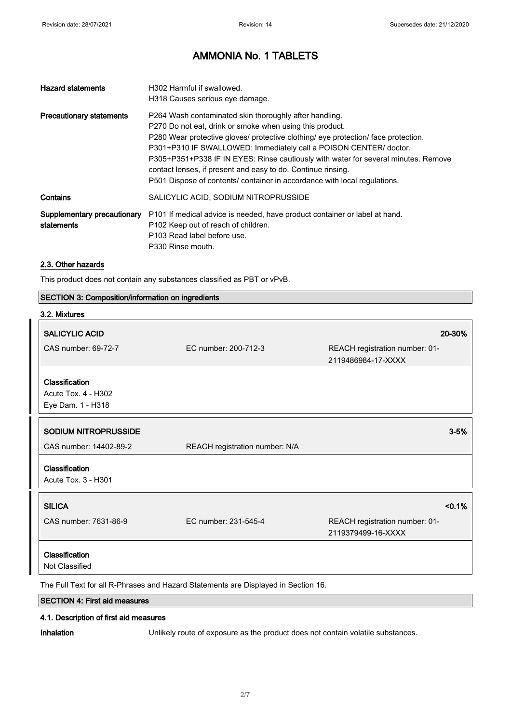| <b>Hazard statements</b>                  | H302 Harmful if swallowed.<br>H318 Causes serious eye damage.                                                                                                                                                                                                                                                                                                                                                                                                                                                    |
|-------------------------------------------|------------------------------------------------------------------------------------------------------------------------------------------------------------------------------------------------------------------------------------------------------------------------------------------------------------------------------------------------------------------------------------------------------------------------------------------------------------------------------------------------------------------|
| <b>Precautionary statements</b>           | P264 Wash contaminated skin thoroughly after handling.<br>P270 Do not eat, drink or smoke when using this product.<br>P280 Wear protective gloves/ protective clothing/ eye protection/ face protection.<br>P301+P310 IF SWALLOWED: Immediately call a POISON CENTER/ doctor.<br>P305+P351+P338 IF IN EYES: Rinse cautiously with water for several minutes. Remove<br>contact lenses, if present and easy to do. Continue rinsing.<br>P501 Dispose of contents/ container in accordance with local regulations. |
| Contains                                  | SALICYLIC ACID, SODIUM NITROPRUSSIDE                                                                                                                                                                                                                                                                                                                                                                                                                                                                             |
| Supplementary precautionary<br>statements | P101 If medical advice is needed, have product container or label at hand.<br>P102 Keep out of reach of children.<br>P103 Read label before use.<br>P330 Rinse mouth.                                                                                                                                                                                                                                                                                                                                            |

#### 2.3. Other hazards

This product does not contain any substances classified as PBT or vPvB.

| <b>SECTION 3: Composition/information on ingredients</b> |  |  |
|----------------------------------------------------------|--|--|
|----------------------------------------------------------|--|--|

| 3.2. Mixtures                                                                      |                                |                                                      |
|------------------------------------------------------------------------------------|--------------------------------|------------------------------------------------------|
| <b>SALICYLIC ACID</b>                                                              |                                | 20-30%                                               |
| CAS number: 69-72-7                                                                | EC number: 200-712-3           | REACH registration number: 01-<br>2119486984-17-XXXX |
| Classification                                                                     |                                |                                                      |
| Acute Tox. 4 - H302                                                                |                                |                                                      |
| Eye Dam. 1 - H318                                                                  |                                |                                                      |
| SODIUM NITROPRUSSIDE                                                               |                                | $3 - 5%$                                             |
| CAS number: 14402-89-2                                                             | REACH registration number: N/A |                                                      |
| Classification                                                                     |                                |                                                      |
| Acute Tox. 3 - H301                                                                |                                |                                                      |
| <b>SILICA</b>                                                                      |                                | < 0.1%                                               |
| CAS number: 7631-86-9                                                              | EC number: 231-545-4           | REACH registration number: 01-<br>2119379499-16-XXXX |
| Classification                                                                     |                                |                                                      |
| Not Classified                                                                     |                                |                                                      |
| The Full Text for all R-Phrases and Hazard Statements are Displayed in Section 16. |                                |                                                      |
| <b>SECTION 4: First aid measures</b>                                               |                                |                                                      |

# 4.1. Description of first aid measures

Inhalation Unlikely route of exposure as the product does not contain volatile substances.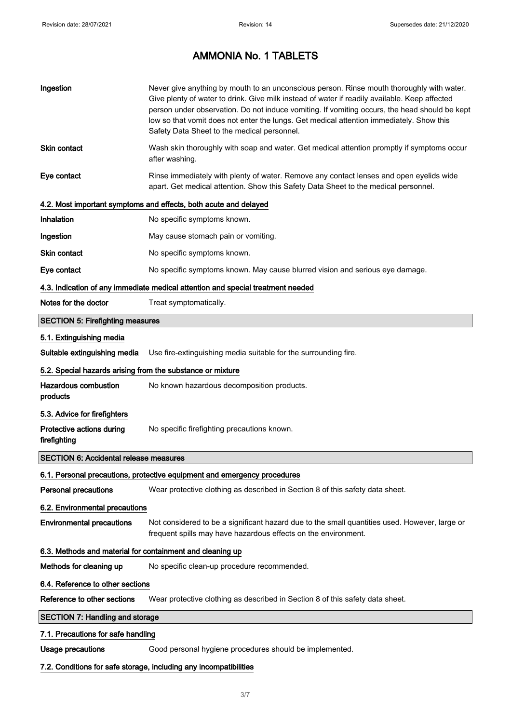| Ingestion                                                  | Never give anything by mouth to an unconscious person. Rinse mouth thoroughly with water.<br>Give plenty of water to drink. Give milk instead of water if readily available. Keep affected<br>person under observation. Do not induce vomiting. If vomiting occurs, the head should be kept<br>low so that vomit does not enter the lungs. Get medical attention immediately. Show this<br>Safety Data Sheet to the medical personnel. |
|------------------------------------------------------------|----------------------------------------------------------------------------------------------------------------------------------------------------------------------------------------------------------------------------------------------------------------------------------------------------------------------------------------------------------------------------------------------------------------------------------------|
| <b>Skin contact</b>                                        | Wash skin thoroughly with soap and water. Get medical attention promptly if symptoms occur<br>after washing.                                                                                                                                                                                                                                                                                                                           |
| Eye contact                                                | Rinse immediately with plenty of water. Remove any contact lenses and open eyelids wide<br>apart. Get medical attention. Show this Safety Data Sheet to the medical personnel.                                                                                                                                                                                                                                                         |
|                                                            | 4.2. Most important symptoms and effects, both acute and delayed                                                                                                                                                                                                                                                                                                                                                                       |
| <b>Inhalation</b>                                          | No specific symptoms known.                                                                                                                                                                                                                                                                                                                                                                                                            |
| Ingestion                                                  | May cause stomach pain or vomiting.                                                                                                                                                                                                                                                                                                                                                                                                    |
| <b>Skin contact</b>                                        | No specific symptoms known.                                                                                                                                                                                                                                                                                                                                                                                                            |
| Eye contact                                                | No specific symptoms known. May cause blurred vision and serious eye damage.                                                                                                                                                                                                                                                                                                                                                           |
|                                                            | 4.3. Indication of any immediate medical attention and special treatment needed                                                                                                                                                                                                                                                                                                                                                        |
| Notes for the doctor                                       | Treat symptomatically.                                                                                                                                                                                                                                                                                                                                                                                                                 |
| <b>SECTION 5: Firefighting measures</b>                    |                                                                                                                                                                                                                                                                                                                                                                                                                                        |
| 5.1. Extinguishing media                                   |                                                                                                                                                                                                                                                                                                                                                                                                                                        |
| Suitable extinguishing media                               | Use fire-extinguishing media suitable for the surrounding fire.                                                                                                                                                                                                                                                                                                                                                                        |
| 5.2. Special hazards arising from the substance or mixture |                                                                                                                                                                                                                                                                                                                                                                                                                                        |
| <b>Hazardous combustion</b><br>products                    | No known hazardous decomposition products.                                                                                                                                                                                                                                                                                                                                                                                             |
| 5.3. Advice for firefighters                               |                                                                                                                                                                                                                                                                                                                                                                                                                                        |
| Protective actions during<br>firefighting                  | No specific firefighting precautions known.                                                                                                                                                                                                                                                                                                                                                                                            |
| <b>SECTION 6: Accidental release measures</b>              |                                                                                                                                                                                                                                                                                                                                                                                                                                        |
|                                                            | 6.1. Personal precautions, protective equipment and emergency procedures                                                                                                                                                                                                                                                                                                                                                               |
| <b>Personal precautions</b>                                | Wear protective clothing as described in Section 8 of this safety data sheet.                                                                                                                                                                                                                                                                                                                                                          |
| 6.2. Environmental precautions                             |                                                                                                                                                                                                                                                                                                                                                                                                                                        |
| <b>Environmental precautions</b>                           | Not considered to be a significant hazard due to the small quantities used. However, large or<br>frequent spills may have hazardous effects on the environment.                                                                                                                                                                                                                                                                        |
| 6.3. Methods and material for containment and cleaning up  |                                                                                                                                                                                                                                                                                                                                                                                                                                        |
| Methods for cleaning up                                    | No specific clean-up procedure recommended.                                                                                                                                                                                                                                                                                                                                                                                            |
| 6.4. Reference to other sections                           |                                                                                                                                                                                                                                                                                                                                                                                                                                        |
| Reference to other sections                                | Wear protective clothing as described in Section 8 of this safety data sheet.                                                                                                                                                                                                                                                                                                                                                          |
| <b>SECTION 7: Handling and storage</b>                     |                                                                                                                                                                                                                                                                                                                                                                                                                                        |
| 7.1. Precautions for safe handling                         |                                                                                                                                                                                                                                                                                                                                                                                                                                        |
| <b>Usage precautions</b>                                   | Good personal hygiene procedures should be implemented.                                                                                                                                                                                                                                                                                                                                                                                |
|                                                            | 7.2. Conditions for safe storage, including any incompatibilities                                                                                                                                                                                                                                                                                                                                                                      |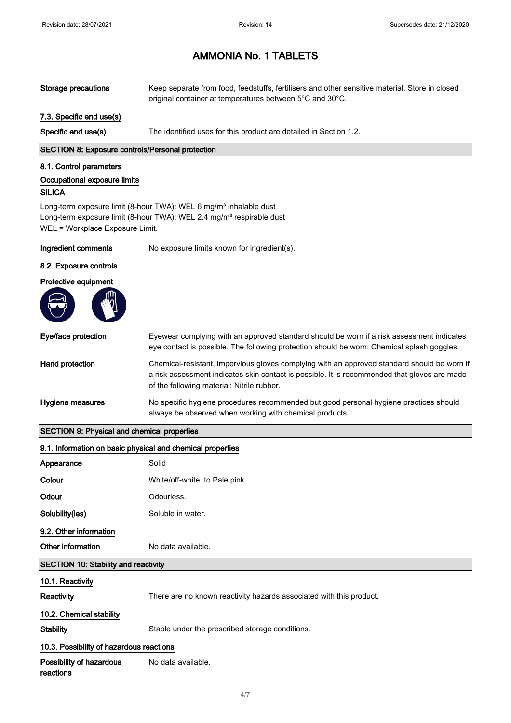| <b>Storage precautions</b>                                 | Keep separate from food, feedstuffs, fertilisers and other sensitive material. Store in closed<br>original container at temperatures between 5°C and 30°C.                                                                                |  |
|------------------------------------------------------------|-------------------------------------------------------------------------------------------------------------------------------------------------------------------------------------------------------------------------------------------|--|
| 7.3. Specific end use(s)                                   |                                                                                                                                                                                                                                           |  |
| Specific end use(s)                                        | The identified uses for this product are detailed in Section 1.2.                                                                                                                                                                         |  |
| <b>SECTION 8: Exposure controls/Personal protection</b>    |                                                                                                                                                                                                                                           |  |
| 8.1. Control parameters                                    |                                                                                                                                                                                                                                           |  |
| Occupational exposure limits<br><b>SILICA</b>              |                                                                                                                                                                                                                                           |  |
| WEL = Workplace Exposure Limit.                            | Long-term exposure limit (8-hour TWA): WEL 6 mg/m <sup>3</sup> inhalable dust<br>Long-term exposure limit (8-hour TWA): WEL 2.4 mg/m <sup>3</sup> respirable dust                                                                         |  |
| Ingredient comments                                        | No exposure limits known for ingredient(s).                                                                                                                                                                                               |  |
| 8.2. Exposure controls                                     |                                                                                                                                                                                                                                           |  |
| Protective equipment                                       |                                                                                                                                                                                                                                           |  |
| Eye/face protection                                        | Eyewear complying with an approved standard should be worn if a risk assessment indicates<br>eye contact is possible. The following protection should be worn: Chemical splash goggles.                                                   |  |
| Hand protection                                            | Chemical-resistant, impervious gloves complying with an approved standard should be worn if<br>a risk assessment indicates skin contact is possible. It is recommended that gloves are made<br>of the following material: Nitrile rubber. |  |
| Hygiene measures                                           | No specific hygiene procedures recommended but good personal hygiene practices should<br>always be observed when working with chemical products.                                                                                          |  |
| <b>SECTION 9: Physical and chemical properties</b>         |                                                                                                                                                                                                                                           |  |
| 9.1. Information on basic physical and chemical properties |                                                                                                                                                                                                                                           |  |
| Appearance                                                 | Solid                                                                                                                                                                                                                                     |  |
| Colour                                                     | White/off-white. to Pale pink.                                                                                                                                                                                                            |  |
| Odour                                                      | Odourless.                                                                                                                                                                                                                                |  |
| Solubility(ies)                                            | Soluble in water.                                                                                                                                                                                                                         |  |
| 9.2. Other information                                     |                                                                                                                                                                                                                                           |  |
| Other information                                          | No data available.                                                                                                                                                                                                                        |  |
| <b>SECTION 10: Stability and reactivity</b>                |                                                                                                                                                                                                                                           |  |
| 10.1. Reactivity                                           |                                                                                                                                                                                                                                           |  |
| Reactivity                                                 | There are no known reactivity hazards associated with this product.                                                                                                                                                                       |  |
| 10.2. Chemical stability                                   |                                                                                                                                                                                                                                           |  |
| <b>Stability</b>                                           | Stable under the prescribed storage conditions.                                                                                                                                                                                           |  |
| 10.3. Possibility of hazardous reactions                   |                                                                                                                                                                                                                                           |  |
| Possibility of hazardous<br>reactions                      | No data available.                                                                                                                                                                                                                        |  |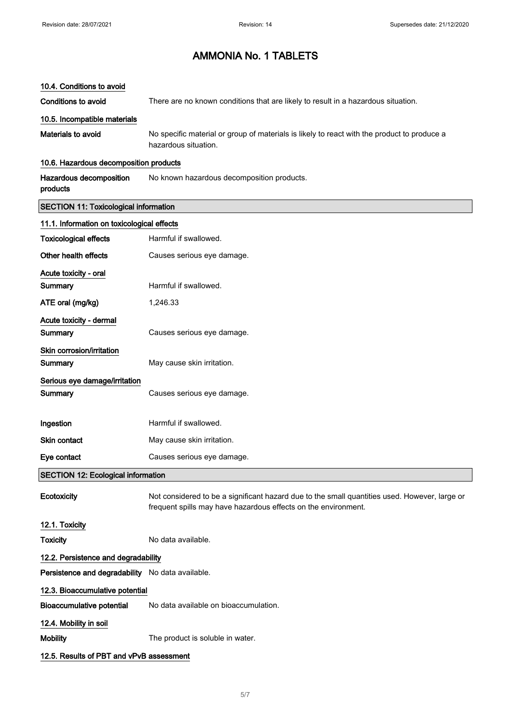#### 10.4. Conditions to avoid

Conditions to avoid There are no known conditions that are likely to result in a hazardous situation.

#### 10.5. Incompatible materials

Materials to avoid No specific material or group of materials is likely to react with the product to produce a hazardous situation.

#### 10.6. Hazardous decomposition products

Hazardous decomposition products No known hazardous decomposition products.

#### SECTION 11: Toxicological information

| 11.1. Information on toxicological effects       |                                                                                                                                                                 |
|--------------------------------------------------|-----------------------------------------------------------------------------------------------------------------------------------------------------------------|
| <b>Toxicological effects</b>                     | Harmful if swallowed.                                                                                                                                           |
| Other health effects                             | Causes serious eye damage.                                                                                                                                      |
| Acute toxicity - oral                            |                                                                                                                                                                 |
| Summary                                          | Harmful if swallowed.                                                                                                                                           |
| ATE oral (mg/kg)                                 | 1,246.33                                                                                                                                                        |
| Acute toxicity - dermal                          |                                                                                                                                                                 |
| Summary                                          | Causes serious eye damage.                                                                                                                                      |
| Skin corrosion/irritation                        |                                                                                                                                                                 |
| Summary                                          | May cause skin irritation.                                                                                                                                      |
| Serious eye damage/irritation                    |                                                                                                                                                                 |
| Summary                                          | Causes serious eye damage.                                                                                                                                      |
|                                                  |                                                                                                                                                                 |
| Ingestion                                        | Harmful if swallowed.                                                                                                                                           |
| Skin contact                                     | May cause skin irritation.                                                                                                                                      |
| Eye contact                                      | Causes serious eye damage.                                                                                                                                      |
| <b>SECTION 12: Ecological information</b>        |                                                                                                                                                                 |
| Ecotoxicity                                      | Not considered to be a significant hazard due to the small quantities used. However, large or<br>frequent spills may have hazardous effects on the environment. |
| 12.1. Toxicity                                   |                                                                                                                                                                 |
| <b>Toxicity</b>                                  | No data available.                                                                                                                                              |
| 12.2. Persistence and degradability              |                                                                                                                                                                 |
| Persistence and degradability No data available. |                                                                                                                                                                 |
| 12.3. Bioaccumulative potential                  |                                                                                                                                                                 |
| <b>Bioaccumulative potential</b>                 | No data available on bioaccumulation.                                                                                                                           |
| 12.4. Mobility in soil                           |                                                                                                                                                                 |
| Mobility                                         | The product is soluble in water.                                                                                                                                |
| 12.5. Results of PBT and vPvB assessment         |                                                                                                                                                                 |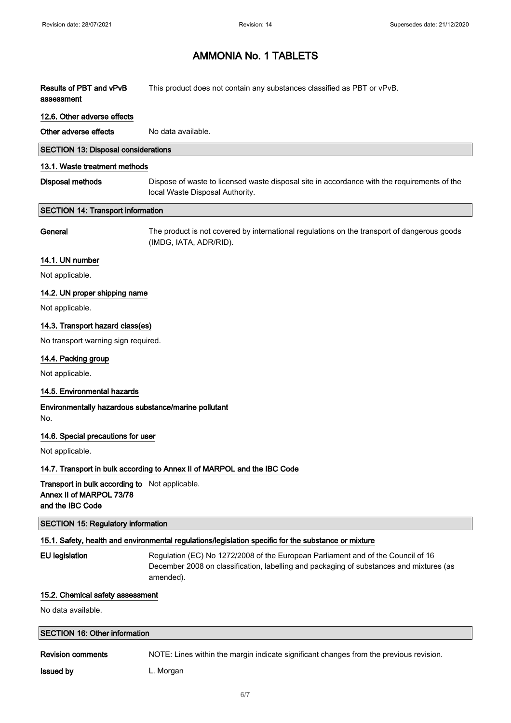| Results of PBT and vPvB            | This product does not contain any substances classified as PBT or vPvB. |
|------------------------------------|-------------------------------------------------------------------------|
| assessment                         |                                                                         |
| $\sim$ $\sim$ $\sim$ $\sim$ $\sim$ |                                                                         |

### 12.6. Other adverse effects

Other adverse effects No data available.

#### SECTION 13: Disposal considerations

### 13.1. Waste treatment methods

| Disposal methods | Dispose of waste to licensed waste disposal site in accordance with the requirements of the |
|------------------|---------------------------------------------------------------------------------------------|
|                  | local Waste Disposal Authority.                                                             |

#### SECTION 14: Transport information

General The product is not covered by international regulations on the transport of dangerous goods (IMDG, IATA, ADR/RID).

#### 14.1. UN number

Not applicable.

#### 14.2. UN proper shipping name

Not applicable.

#### 14.3. Transport hazard class(es)

No transport warning sign required.

#### 14.4. Packing group

Not applicable.

#### 14.5. Environmental hazards

#### Environmentally hazardous substance/marine pollutant No.

#### 14.6. Special precautions for user

Not applicable.

#### 14.7. Transport in bulk according to Annex II of MARPOL and the IBC Code

Transport in bulk according to Not applicable. Annex II of MARPOL 73/78 and the IBC Code

#### SECTION 15: Regulatory information

### 15.1. Safety, health and environmental regulations/legislation specific for the substance or mixture

EU legislation Regulation (EC) No 1272/2008 of the European Parliament and of the Council of 16 December 2008 on classification, labelling and packaging of substances and mixtures (as amended).

#### 15.2. Chemical safety assessment

No data available.

#### SECTION 16: Other information

Revision comments NOTE: Lines within the margin indicate significant changes from the previous revision.

**Issued by Community** L. Morgan